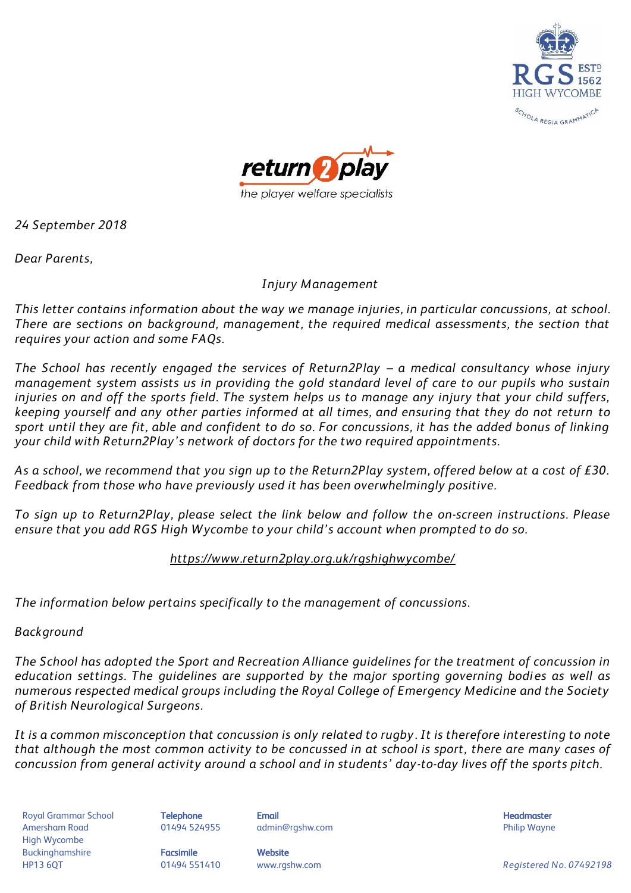



*24 September 2018*

*Dear Parents,*

### *Injury Management*

*This letter contains information about the way we manage injuries, in particular concussions, at school. There are sections on background, management, the required medical assessments, the section that requires your action and some FAQs.*

*The School has recently engaged the services of Return2Play - a medical consultancy whose injury management system assists us in providing the gold standard level of care to our pupils who sustain injuries on and off the sports field. The system helps us to manage any injury that your child suffers, keeping yourself and any other parties informed at all times, and ensuring that they do not return to sport until they are fit, able and confident to do so. For concussions, it has the added bonus of linking your child with Return2Play's network of doctors for the two required appointments.*

*As a school, we recommend that you sign up to the Return2Play system, offered below at a cost of £30. Feedback from those who have previously used it has been overwhelmingly positive.* 

*To sign up to Return2Play, please select the link below and follow the on-screen instructions. Please ensure that you add RGS High Wycombe to your child's account when prompted to do so.* 

## *<https://www.return2play.org.uk/rgshighwycombe/>*

*The information below pertains specifically to the management of concussions.* 

## *Background*

*The School has adopted the Sport and Recreation Alliance guidelines for the treatment of concussion in education settings. The quidelines are supported by the major sporting governing bodies as well as numerous respected medical groups including the Royal College of Emergency Medicine and the Society of British Neurological Surgeons.*

*It is a common misconception that concussion is only related to rugby . It is therefore interesting to note that although the most common activity to be concussed in at school is sport, there are many cases of concussion from general activity around a school and in students' day-to-day lives off the sports pitch.*

Royal Grammar School **Telephone Email Headmaster Email Headmaster Headmaster Headmaster** Amersham Road **8. Mart 201494 524955** admin@rgshw.com **COVID Philip Wayne** Philip Wayne High Wycombe Buckinghamshire **Facsimile Facsimile** Website

HP13 6QT 01494 551410 www.rgshw.com *Registered No. 07492198*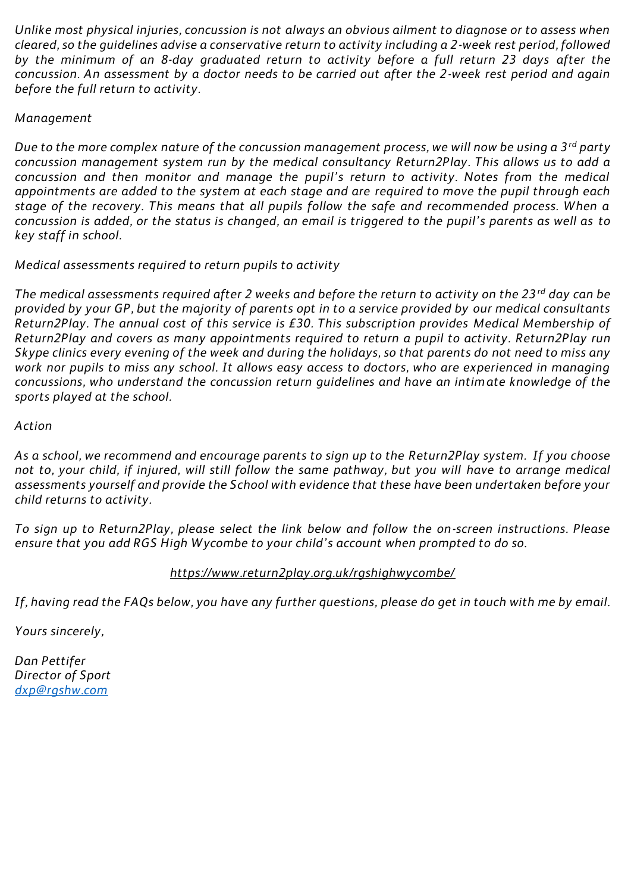*Unlike most physical injuries, concussion is not always an obvious ailment to diagnose or to assess when cleared, so the guidelines advise a conservative return to activity including a 2-week rest period, followed by the minimum of an 8-day graduated return to activity before a full return 23 days after the concussion. An assessment by a doctor needs to be carried out after the 2-week rest period and again before the full return to activity.*

### *Management*

*Due to the more complex nature of the concussion management process, we will now be using a 3rd party concussion management system run by the medical consultancy Return2Play. This allows us to add a concussion and then monitor and manage the pupil's return to activity. Notes from the medical appointments are added to the system at each stage and are required to move the pupil through each stage of the recovery. This means that all pupils follow the safe and recommended process. When a concussion is added, or the status is changed, an email is triggered to the pupil's parents as well as to key staff in school.* 

*Medical assessments required to return pupils to activity*

*The medical assessments required after 2 weeks and before the return to activity on the 23rd day can be provided by your GP, but the majority of parents opt in to a service provided by our medical consultants Return2Play. The annual cost of this service is £30. This subscription provides Medical Membership of Return2Play and covers as many appointments required to return a pupil to activity. Return2Play run Skype clinics every evening of the week and during the holidays, so that parents do not need to miss any work nor pupils to miss any school. It allows easy access to doctors, who are experienced in managing concussions, who understand the concussion return guidelines and have an intimate knowledge of the sports played at the school.* 

### *Action*

*As a school, we recommend and encourage parents to sign up to the Return2Play system. If you choose not to, your child, if injured, will still follow the same pathway, but you will have to arrange medical assessments yourself and provide the School with evidence that these have been undertaken before your child returns to activity.* 

*To sign up to Return2Play, please select the link below and follow the on-screen instructions. Please ensure that you add RGS High Wycombe to your child's account when prompted to do so.* 

### *https://www.return2play.org.uk/rgshighwycombe/*

*If, having read the FAQs below, you have any further questions, please do get in touch with me by email.*

*Yours sincerely,*

*Dan Pettifer Director of Sport [dxp@rgshw.com](mailto:dxp@rgshw.com)*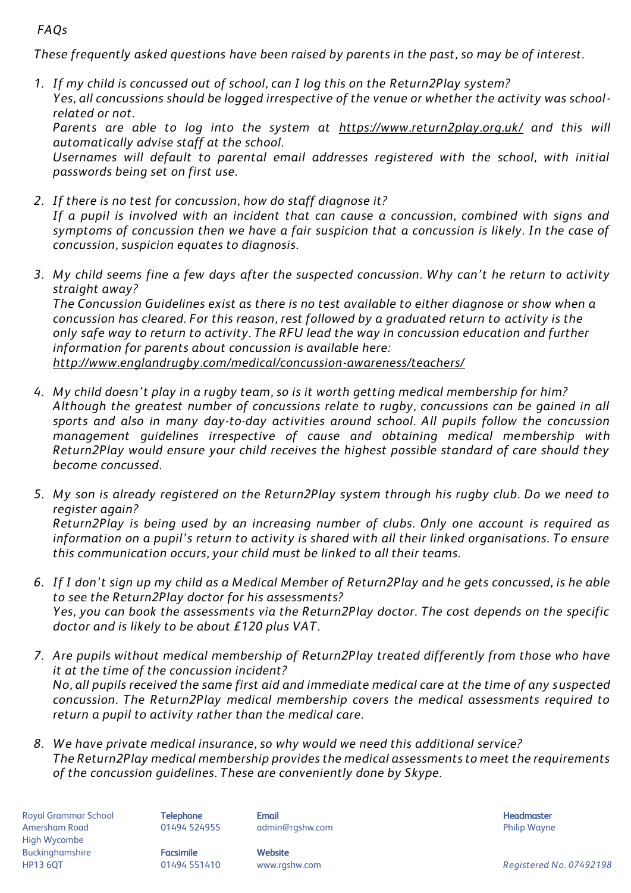# *FAQs*

*These frequently asked questions have been raised by parents in the past, so may be of interest.*

*1. If my child is concussed out of school, can I log this on the Return2Play system? Yes, all concussions should be logged irrespective of the venue or whether the activity was schoolrelated or not.*

*Parents are able to log into the system at <https://www.return2play.org.uk/> and this will automatically advise staff at the school.*

*Usernames will default to parental email addresses registered with the school, with initial passwords being set on first use.*

- *2. If there is no test for concussion, how do staff diagnose it? If a pupil is involved with an incident that can cause a concussion, combined with signs and symptoms of concussion then we have a fair suspicion that a concussion is likely. In the case of concussion, suspicion equates to diagnosis.*
- *3. My child seems fine a few days after the suspected concussion. Why can't he return to activity straight away?*

*The Concussion Guidelines exist as there is no test available to either diagnose or show when a concussion has cleared. For this reason, rest followed by a graduated return to activity is the only safe way to return to activity. The RFU lead the way in concussion education and further information for parents about concussion is available here: <http://www.englandrugby.com/medical/concussion-awareness/teachers/>*

- *4. My child doesn't play in a rugby team, so is it worth getting medical membership for him? Although the greatest number of concussions relate to rugby, concussions can be gained in all sports and also in many day-to-day activities around school. All pupils follow the concussion management guidelines irrespective of cause and obtaining medical membership with Return2Play would ensure your child receives the highest possible standard of care should they become concussed.*
- *5. My son is already registered on the Return2Play system through his rugby club. Do we need to register again? Return2Play is being used by an increasing number of clubs. Only one account is required as information on a pupil's return to activity is shared with all their linked organisations. To ensure this communication occurs, your child must be linked to all their teams.*
- *6. If I don't sign up my child as a Medical Member of Return2Play and he gets concussed, is he able to see the Return2Play doctor for his assessments? Yes, you can book the assessments via the Return2Play doctor. The cost depends on the specific doctor and is likely to be about £120 plus VAT.*
- *7. Are pupils without medical membership of Return2Play treated differently from those who have it at the time of the concussion incident? No, all pupils received the same first aid and immediate medical care at the time of any suspected concussion. The Return2Play medical membership covers the medical assessments required to return a pupil to activity rather than the medical care.*
- *8. We have private medical insurance, so why would we need this additional service? The Return2Play medical membership provides the medical assessments to meet the requirements of the concussion guidelines. These are conveniently done by Skype.*

Royal Grammar School **Telephone Email Headmaster Email Headmaster Headmaster Headmaster** Amersham Road **8.2006 and 1999 12494 524955** admin@rgshw.com **COVID 1258 admin@rgshw.com** Philip Wayne High Wycombe Buckinghamshire **Facsimile Facsimile** Website

HP13 6QT 01494 551410 www.rgshw.com *Registered No. 07492198*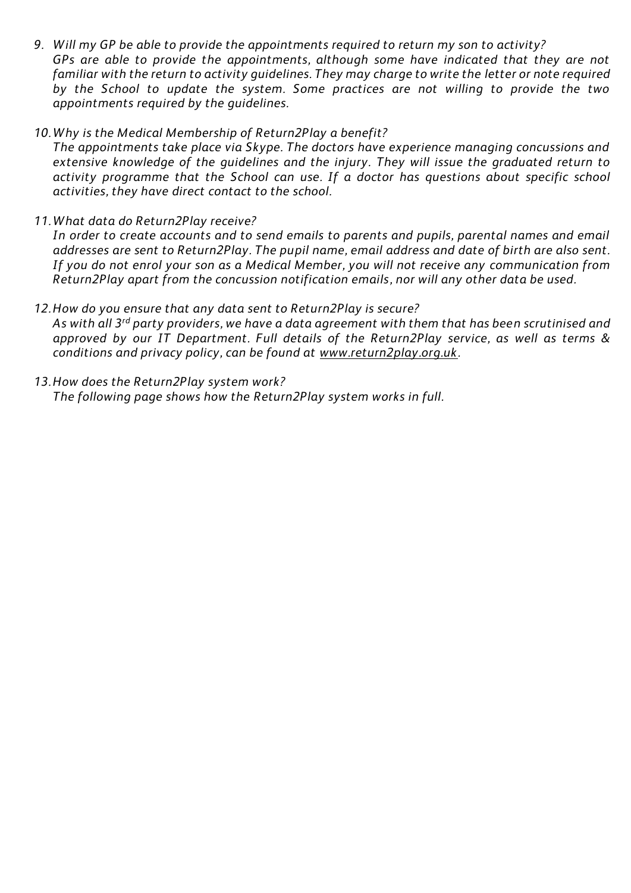- *9. Will my GP be able to provide the appointments required to return my son to activity? GPs are able to provide the appointments, although some have indicated that they are not familiar with the return to activity guidelines. They may charge to write the letter or note required by the School to update the system. Some practices are not willing to provide the two appointments required by the guidelines.*
- *10. Why is the Medical Membership of Return2Play a benefit?*

*The appointments take place via Skype. The doctors have experience managing concussions and extensive knowledge of the guidelines and the injury. They will issue the graduated return to activity programme that the School can use. If a doctor has questions about specific school activities, they have direct contact to the school.*

*11. What data do Return2Play receive?*

*In order to create accounts and to send emails to parents and pupils, parental names and email addresses are sent to Return2Play. The pupil name, email address and date of birth are also sent. If you do not enrol your son as a Medical Member, you will not receive any communication from Return2Play apart from the concussion notification emails, nor will any other data be used.*

*12.How do you ensure that any data sent to Return2Play is secure?*

*As with all 3rd party providers, we have a data agreement with them that has been scrutinised and approved by our IT Department. Full details of the Return2Play service, as well as terms & conditions and privacy policy, can be found at [www.return2play.org.uk.](http://www.return2play.org.uk/)* 

*13.How does the Return2Play system work? The following page shows how the Return2Play system works in full.*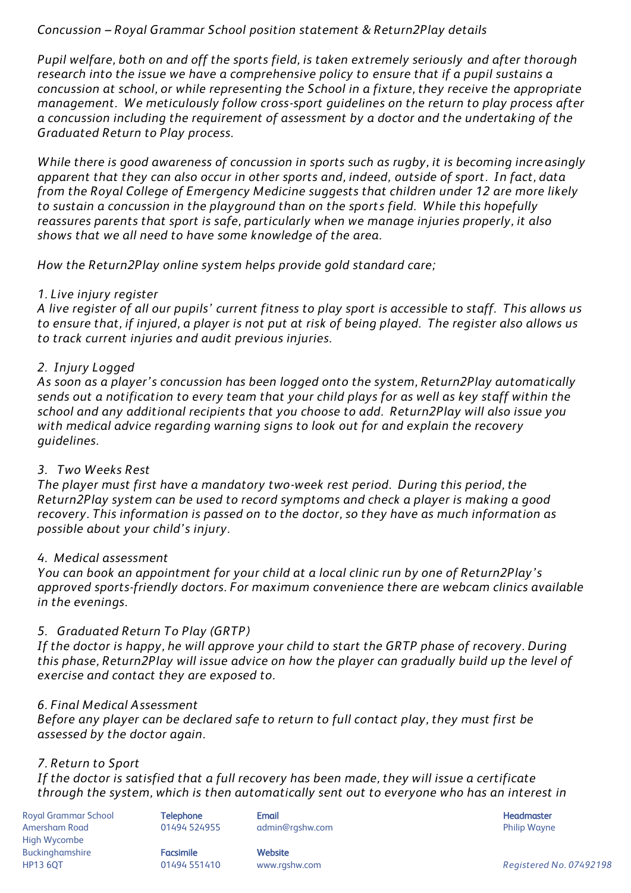## *Concussion – Royal Grammar School position statement & Return2Play details*

*Pupil welfare, both on and off the sports field, is taken extremely seriously and after thorough research into the issue we have a comprehensive policy to ensure that if a pupil sustains a concussion at school, or while representing the School in a fixture, they receive the appropriate management. We meticulously follow cross-sport guidelines on the return to play process after a concussion including the requirement of assessment by a doctor and the undertaking of the Graduated Return to Play process.* 

*While there is good awareness of concussion in sports such as rugby, it is becoming increasingly apparent that they can also occur in other sports and, indeed, outside of sport. In fact, data from the Royal College of Emergency Medicine suggests that children under 12 are more likely to sustain a concussion in the playground than on the sports field. While this hopefully reassures parents that sport is safe, particularly when we manage injuries properly, it also shows that we all need to have some knowledge of the area.* 

*How the Return2Play online system helps provide gold standard care;*

### *1. Live injury register*

*A live register of all our pupils' current fitness to play sport is accessible to staff. This allows us to ensure that, if injured, a player is not put at risk of being played. The register also allows us to track current injuries and audit previous injuries.*

## *2. Injury Logged*

*As soon as a player's concussion has been logged onto the system, Return2Play automatically sends out a notification to every team that your child plays for as well as key staff within the school and any additional recipients that you choose to add. Return2Play will also issue you with medical advice regarding warning signs to look out for and explain the recovery guidelines.* 

## *3. Two Weeks Rest*

*The player must first have a mandatory two-week rest period. During this period, the Return2Play system can be used to record symptoms and check a player is making a good recovery. This information is passed on to the doctor, so they have as much information as possible about your child's injury.* 

### *4. Medical assessment*

*You can book an appointment for your child at a local clinic run by one of Return2Play's approved sports-friendly doctors. For maximum convenience there are webcam clinics available in the evenings.* 

## *5. Graduated Return To Play (GRTP)*

*If the doctor is happy, he will approve your child to start the GRTP phase of recovery. During this phase, Return2Play will issue advice on how the player can gradually build up the level of exercise and contact they are exposed to.* 

### *6. Final Medical Assessment*

*Before any player can be declared safe to return to full contact play, they must first be assessed by the doctor again.* 

## *7. Return to Sport*

*If the doctor is satisfied that a full recovery has been made, they will issue a certificate through the system, which is then automatically sent out to everyone who has an interest in* 

Royal Grammar School **Telephone Email Headmaster Email Headmaster** Headmaster **Headmaster** Amersham Road **8.2006 and 1999 12494 524955** admin@rgshw.com **COVID 1258 admin@rgshw.com** Philip Wayne High Wycombe Buckinghamshire **Facsimile Facsimile** Website